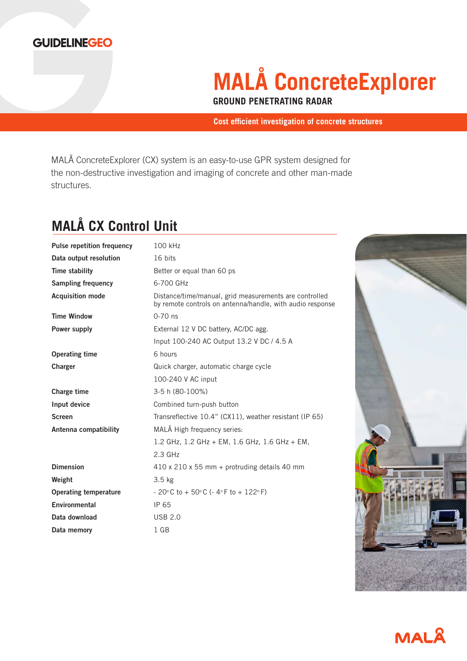

# **MALÅ ConcreteExplorer**

**GROUND PENETRATING RADAR**

**Cost efficient investigation of concrete structures**

MALÅ ConcreteExplorer (CX) system is an easy-to-use GPR system designed for the non-destructive investigation and imaging of concrete and other man-made structures.

## **MALÅ CX Control Unit**

| <b>Pulse repetition frequency</b> | 100 kHz                                                                                                             |
|-----------------------------------|---------------------------------------------------------------------------------------------------------------------|
| Data output resolution            | 16 bits                                                                                                             |
| Time stability                    | Better or equal than 60 ps                                                                                          |
| <b>Sampling frequency</b>         | 6-700 GHz                                                                                                           |
| <b>Acquisition mode</b>           | Distance/time/manual, grid measurements are controlled<br>by remote controls on antenna/handle, with audio response |
| <b>Time Window</b>                | $0 - 70$ ns                                                                                                         |
| Power supply                      | External 12 V DC battery, AC/DC agg.                                                                                |
|                                   | Input 100-240 AC Output 13.2 V DC / 4.5 A                                                                           |
| <b>Operating time</b>             | 6 hours                                                                                                             |
| Charger                           | Quick charger, automatic charge cycle                                                                               |
|                                   | 100-240 V AC input                                                                                                  |
| Charge time                       | 3-5 h (80-100%)                                                                                                     |
| Input device                      | Combined turn-push button                                                                                           |
| <b>Screen</b>                     | Transreflective 10.4" (CX11), weather resistant (IP 65)                                                             |
| Antenna compatibility             | MALÅ High frequency series:                                                                                         |
|                                   | 1.2 GHz, 1.2 GHz + EM, 1.6 GHz, 1.6 GHz + EM,                                                                       |
|                                   | $2.3$ GHz                                                                                                           |
| <b>Dimension</b>                  | 410 x 210 x 55 mm + protruding details 40 mm                                                                        |
| Weight                            | 3.5 <sub>kg</sub>                                                                                                   |
| <b>Operating temperature</b>      | $-20^{\circ}$ C to + 50 $^{\circ}$ C (- 4 $^{\circ}$ F to + 122 $^{\circ}$ F)                                       |
| Environmental                     | IP 65                                                                                                               |
| Data download                     | <b>USB 2.0</b>                                                                                                      |
| Data memory                       | 1 GB                                                                                                                |
|                                   |                                                                                                                     |